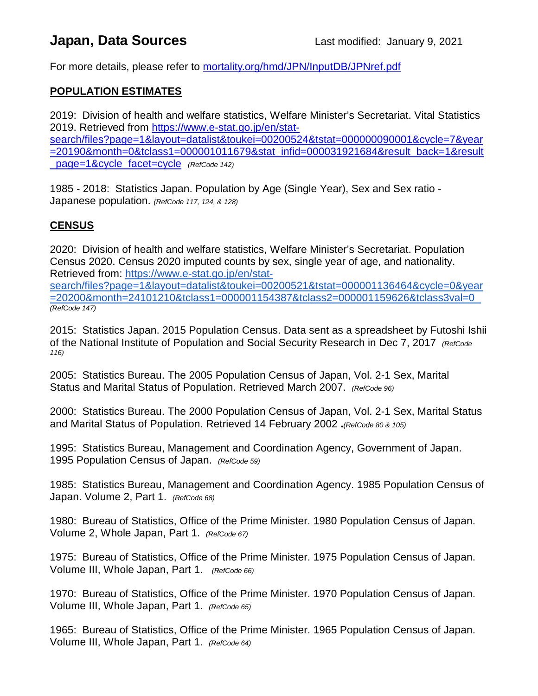# **Japan, Data Sources Last modified: January 9, 2021**

For more details, please refer to **[mortality.org/hmd/JPN/InputDB/JPNref.pdf](http://www.mortality.org/hmd/JPN/InputDB/JPNref.pdf)** 

### **POPULATION ESTIMATES**

2019: Division of health and welfare statistics, Welfare Minister's Secretariat. Vital Statistics 2019. Retrieved from [https://www.e-stat.go.jp/en/stat](https://www.e-stat.go.jp/en/stat-search/files?page=1&layout=datalist&toukei=00200524&tstat=000000090001&cycle=7&year=20190&month=0&tclass1=000001011679&stat_infid=000031921684&result_back=1&result_page=1&cycle_facet=cycle)[search/files?page=1&layout=datalist&toukei=00200524&tstat=000000090001&cycle=7&year](https://www.e-stat.go.jp/en/stat-search/files?page=1&layout=datalist&toukei=00200524&tstat=000000090001&cycle=7&year=20190&month=0&tclass1=000001011679&stat_infid=000031921684&result_back=1&result_page=1&cycle_facet=cycle)

[=20190&month=0&tclass1=000001011679&stat\\_infid=000031921684&result\\_back=1&result](https://www.e-stat.go.jp/en/stat-search/files?page=1&layout=datalist&toukei=00200524&tstat=000000090001&cycle=7&year=20190&month=0&tclass1=000001011679&stat_infid=000031921684&result_back=1&result_page=1&cycle_facet=cycle) [\\_page=1&cycle\\_facet=cycle](https://www.e-stat.go.jp/en/stat-search/files?page=1&layout=datalist&toukei=00200524&tstat=000000090001&cycle=7&year=20190&month=0&tclass1=000001011679&stat_infid=000031921684&result_back=1&result_page=1&cycle_facet=cycle) *(RefCode 142)*

1985 - 2018: Statistics Japan. Population by Age (Single Year), Sex and Sex ratio - Japanese population. *(RefCode 117, 124, & 128)*

#### **CENSUS**

2020: Division of health and welfare statistics, Welfare Minister's Secretariat. Population Census 2020. Census 2020 imputed counts by sex, single year of age, and nationality. Retrieved from: [https://www.e-stat.go.jp/en/stat-](https://www.e-stat.go.jp/en/stat-search/files?page=1&layout=datalist&toukei=00200521&tstat=000001136464&cycle=0&year=20200&month=24101210&tclass1=000001154387&tclass2=000001159626&tclass3val=0)

[search/files?page=1&layout=datalist&toukei=00200521&tstat=000001136464&cycle=0&year](https://www.e-stat.go.jp/en/stat-search/files?page=1&layout=datalist&toukei=00200521&tstat=000001136464&cycle=0&year=20200&month=24101210&tclass1=000001154387&tclass2=000001159626&tclass3val=0) [=20200&month=24101210&tclass1=000001154387&tclass2=000001159626&tclass3val=0](https://www.e-stat.go.jp/en/stat-search/files?page=1&layout=datalist&toukei=00200521&tstat=000001136464&cycle=0&year=20200&month=24101210&tclass1=000001154387&tclass2=000001159626&tclass3val=0) *(RefCode 147)*

2015: Statistics Japan. 2015 Population Census. Data sent as a spreadsheet by Futoshi Ishii of the National Institute of Population and Social Security Research in Dec 7, 2017 *(RefCode 116)*

2005: Statistics Bureau. The 2005 Population Census of Japan, Vol. 2-1 Sex, Marital Status and Marital Status of Population. Retrieved March 2007. *(RefCode 96)*

2000: Statistics Bureau. The 2000 Population Census of Japan, Vol. 2-1 Sex, Marital Status and Marital Status of Population. Retrieved 14 February 2002 **.***(RefCode 80 & 105)*

1995: Statistics Bureau, Management and Coordination Agency, Government of Japan. 1995 Population Census of Japan. *(RefCode 59)*

1985: Statistics Bureau, Management and Coordination Agency. 1985 Population Census of Japan. Volume 2, Part 1. *(RefCode 68)*

1980: Bureau of Statistics, Office of the Prime Minister. 1980 Population Census of Japan. Volume 2, Whole Japan, Part 1. *(RefCode 67)*

1975: Bureau of Statistics, Office of the Prime Minister. 1975 Population Census of Japan. Volume III, Whole Japan, Part 1. *(RefCode 66)*

1970: Bureau of Statistics, Office of the Prime Minister. 1970 Population Census of Japan. Volume III, Whole Japan, Part 1. *(RefCode 65)*

1965: Bureau of Statistics, Office of the Prime Minister. 1965 Population Census of Japan. Volume III, Whole Japan, Part 1. *(RefCode 64)*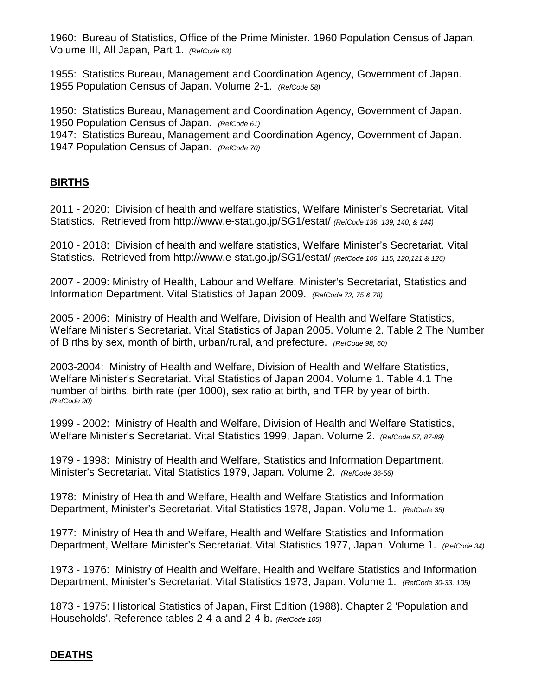1960: Bureau of Statistics, Office of the Prime Minister. 1960 Population Census of Japan. Volume III, All Japan, Part 1. *(RefCode 63)*

1955: Statistics Bureau, Management and Coordination Agency, Government of Japan. 1955 Population Census of Japan. Volume 2-1. *(RefCode 58)*

1950: Statistics Bureau, Management and Coordination Agency, Government of Japan. 1950 Population Census of Japan. *(RefCode 61)* 1947: Statistics Bureau, Management and Coordination Agency, Government of Japan. 1947 Population Census of Japan. *(RefCode 70)*

#### **BIRTHS**

2011 - 2020: Division of health and welfare statistics, Welfare Minister's Secretariat. Vital Statistics. Retrieved from http://www.e-stat.go.jp/SG1/estat/ *(RefCode 136, 139, 140, & 144)*

2010 - 2018: Division of health and welfare statistics, Welfare Minister's Secretariat. Vital Statistics. Retrieved from http://www.e-stat.go.jp/SG1/estat/ *(RefCode 106, 115, 120,121,& 126)*

2007 - 2009: Ministry of Health, Labour and Welfare, Minister's Secretariat, Statistics and Information Department. Vital Statistics of Japan 2009. *(RefCode 72, 75 & 78)*

2005 - 2006: Ministry of Health and Welfare, Division of Health and Welfare Statistics, Welfare Minister's Secretariat. Vital Statistics of Japan 2005. Volume 2. Table 2 The Number of Births by sex, month of birth, urban/rural, and prefecture. *(RefCode 98, 60)*

2003-2004: Ministry of Health and Welfare, Division of Health and Welfare Statistics, Welfare Minister's Secretariat. Vital Statistics of Japan 2004. Volume 1. Table 4.1 The number of births, birth rate (per 1000), sex ratio at birth, and TFR by year of birth. *(RefCode 90)*

1999 - 2002: Ministry of Health and Welfare, Division of Health and Welfare Statistics, Welfare Minister's Secretariat. Vital Statistics 1999, Japan. Volume 2. *(RefCode 57, 87-89)*

1979 - 1998: Ministry of Health and Welfare, Statistics and Information Department, Minister's Secretariat. Vital Statistics 1979, Japan. Volume 2. *(RefCode 36-56)*

1978: Ministry of Health and Welfare, Health and Welfare Statistics and Information Department, Minister's Secretariat. Vital Statistics 1978, Japan. Volume 1. *(RefCode 35)*

1977: Ministry of Health and Welfare, Health and Welfare Statistics and Information Department, Welfare Minister's Secretariat. Vital Statistics 1977, Japan. Volume 1. *(RefCode 34)*

1973 - 1976: Ministry of Health and Welfare, Health and Welfare Statistics and Information Department, Minister's Secretariat. Vital Statistics 1973, Japan. Volume 1. *(RefCode 30-33, 105)*

1873 - 1975: Historical Statistics of Japan, First Edition (1988). Chapter 2 'Population and Households'. Reference tables 2-4-a and 2-4-b. *(RefCode 105)*

## **DEATHS**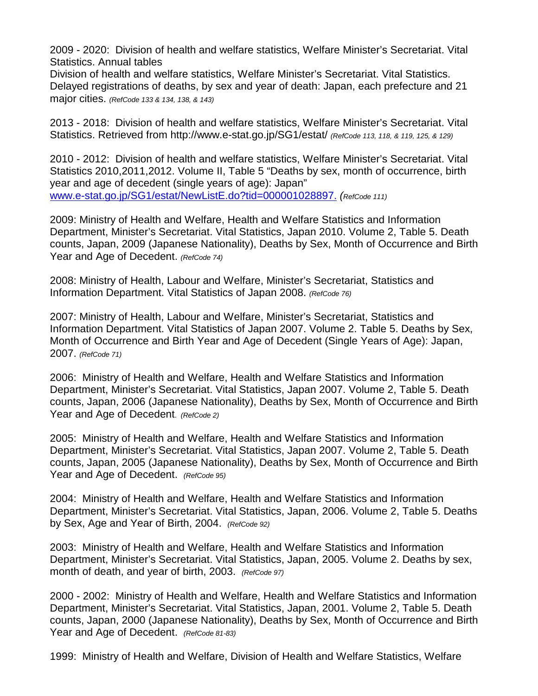2009 - 2020: Division of health and welfare statistics, Welfare Minister's Secretariat. Vital Statistics. Annual tables

Division of health and welfare statistics, Welfare Minister's Secretariat. Vital Statistics. Delayed registrations of deaths, by sex and year of death: Japan, each prefecture and 21 major cities. *(RefCode 133 & 134, 138, & 143)*

2013 - 2018: Division of health and welfare statistics, Welfare Minister's Secretariat. Vital Statistics. Retrieved from http://www.e-stat.go.jp/SG1/estat/ *(RefCode 113, 118, & 119, 125, & 129)*

2010 - 2012: Division of health and welfare statistics, Welfare Minister's Secretariat. Vital Statistics 2010,2011,2012. Volume II, Table 5 "Deaths by sex, month of occurrence, birth year and age of decedent (single years of age): Japan" [www.e-stat.go.jp/SG1/estat/NewListE.do?tid=000001028897.](http://www.e-stat.go.jp/SG1/estat/NewListE.do?tid=000001028897.) *(RefCode 111)*

2009: Ministry of Health and Welfare, Health and Welfare Statistics and Information Department, Minister's Secretariat. Vital Statistics, Japan 2010. Volume 2, Table 5. Death counts, Japan, 2009 (Japanese Nationality), Deaths by Sex, Month of Occurrence and Birth Year and Age of Decedent. *(RefCode 74)*

2008: Ministry of Health, Labour and Welfare, Minister's Secretariat, Statistics and Information Department. Vital Statistics of Japan 2008. *(RefCode 76)*

2007: Ministry of Health, Labour and Welfare, Minister's Secretariat, Statistics and Information Department. Vital Statistics of Japan 2007. Volume 2. Table 5. Deaths by Sex, Month of Occurrence and Birth Year and Age of Decedent (Single Years of Age): Japan, 2007. *(RefCode 71)*

2006: Ministry of Health and Welfare, Health and Welfare Statistics and Information Department, Minister's Secretariat. Vital Statistics, Japan 2007. Volume 2, Table 5. Death counts, Japan, 2006 (Japanese Nationality), Deaths by Sex, Month of Occurrence and Birth Year and Age of Decedent. *(RefCode 2)*

2005: Ministry of Health and Welfare, Health and Welfare Statistics and Information Department, Minister's Secretariat. Vital Statistics, Japan 2007. Volume 2, Table 5. Death counts, Japan, 2005 (Japanese Nationality), Deaths by Sex, Month of Occurrence and Birth Year and Age of Decedent. *(RefCode 95)*

2004: Ministry of Health and Welfare, Health and Welfare Statistics and Information Department, Minister's Secretariat. Vital Statistics, Japan, 2006. Volume 2, Table 5. Deaths by Sex, Age and Year of Birth, 2004. *(RefCode 92)*

2003: Ministry of Health and Welfare, Health and Welfare Statistics and Information Department, Minister's Secretariat. Vital Statistics, Japan, 2005. Volume 2. Deaths by sex, month of death, and year of birth, 2003. *(RefCode 97)*

2000 - 2002: Ministry of Health and Welfare, Health and Welfare Statistics and Information Department, Minister's Secretariat. Vital Statistics, Japan, 2001. Volume 2, Table 5. Death counts, Japan, 2000 (Japanese Nationality), Deaths by Sex, Month of Occurrence and Birth Year and Age of Decedent. *(RefCode 81-83)*

1999: Ministry of Health and Welfare, Division of Health and Welfare Statistics, Welfare